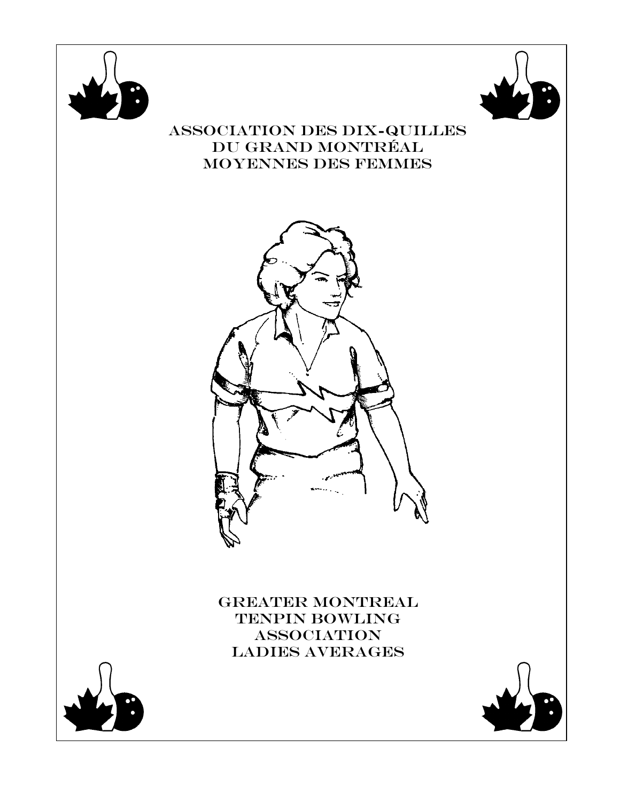



## Association des Dix-Quilles Du grand MontrÉal Moyennes des femmes



GREATER MONTREAL TENPIN BOWLING **ASSOCIATION** LADIES Averages



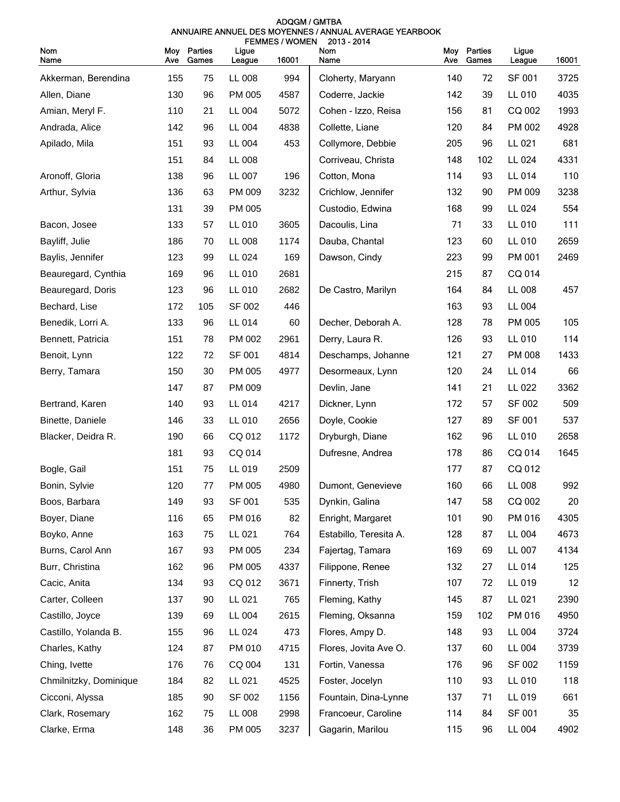| ADQGM / GMTBA                                          |  |  |  |  |  |  |  |
|--------------------------------------------------------|--|--|--|--|--|--|--|
| ANNUAIRE ANNUEL DES MOYENNES / ANNUAL AVERAGE YEARBOOK |  |  |  |  |  |  |  |
| <b>FEMMES/WOMEN 2013-2014</b>                          |  |  |  |  |  |  |  |

| Nom<br>Name            | <b>Moy</b><br>Ave | Parties<br>Games | Ligue<br>League | 16001 | Nom<br>Name            | Moy<br>Ave | Parties<br>Games | Ligue<br>League | 16001 |
|------------------------|-------------------|------------------|-----------------|-------|------------------------|------------|------------------|-----------------|-------|
| Akkerman, Berendina    | 155               | 75               | LL 008          | 994   | Cloherty, Maryann      | 140        | 72               | SF 001          | 3725  |
| Allen, Diane           | 130               | 96               | PM 005          | 4587  | Coderre, Jackie        | 142        | 39               | LL 010          | 4035  |
| Amian, Meryl F.        | 110               | 21               | LL 004          | 5072  | Cohen - Izzo, Reisa    | 156        | 81               | CQ 002          | 1993  |
| Andrada, Alice         | 142               | 96               | LL 004          | 4838  | Collette, Liane        | 120        | 84               | PM 002          | 4928  |
| Apilado, Mila          | 151               | 93               | LL 004          | 453   | Collymore, Debbie      | 205        | 96               | LL 021          | 681   |
|                        | 151               | 84               | LL 008          |       | Corriveau, Christa     | 148        | 102              | LL 024          | 4331  |
| Aronoff, Gloria        | 138               | 96               | LL 007          | 196   | Cotton, Mona           | 114        | 93               | LL 014          | 110   |
| Arthur, Sylvia         | 136               | 63               | PM 009          | 3232  | Crichlow, Jennifer     | 132        | 90               | PM 009          | 3238  |
|                        | 131               | 39               | PM 005          |       | Custodio, Edwina       | 168        | 99               | LL 024          | 554   |
| Bacon, Josee           | 133               | 57               | LL 010          | 3605  | Dacoulis, Lina         | 71         | 33               | LL 010          | 111   |
| Bayliff, Julie         | 186               | 70               | LL 008          | 1174  | Dauba, Chantal         | 123        | 60               | LL 010          | 2659  |
| Baylis, Jennifer       | 123               | 99               | LL 024          | 169   | Dawson, Cindy          | 223        | 99               | PM 001          | 2469  |
| Beauregard, Cynthia    | 169               | 96               | LL 010          | 2681  |                        | 215        | 87               | CQ 014          |       |
| Beauregard, Doris      | 123               | 96               | LL 010          | 2682  | De Castro, Marilyn     | 164        | 84               | LL 008          | 457   |
| Bechard, Lise          | 172               | 105              | SF 002          | 446   |                        | 163        | 93               | LL 004          |       |
| Benedik, Lorri A.      | 133               | 96               | LL 014          | 60    | Decher, Deborah A.     | 128        | 78               | PM 005          | 105   |
| Bennett, Patricia      | 151               | 78               | PM 002          | 2961  | Derry, Laura R.        | 126        | 93               | LL 010          | 114   |
| Benoit, Lynn           | 122               | 72               | SF 001          | 4814  | Deschamps, Johanne     | 121        | 27               | PM 008          | 1433  |
| Berry, Tamara          | 150               | 30               | PM 005          | 4977  | Desormeaux, Lynn       | 120        | 24               | LL 014          | 66    |
|                        | 147               | 87               | PM 009          |       | Devlin, Jane           | 141        | 21               | LL 022          | 3362  |
| Bertrand, Karen        | 140               | 93               | LL 014          | 4217  | Dickner, Lynn          | 172        | 57               | SF 002          | 509   |
| Binette, Daniele       | 146               | 33               | LL 010          | 2656  | Doyle, Cookie          | 127        | 89               | SF 001          | 537   |
| Blacker, Deidra R.     | 190               | 66               | CQ 012          | 1172  | Dryburgh, Diane        | 162        | 96               | LL 010          | 2658  |
|                        | 181               | 93               | CQ 014          |       | Dufresne, Andrea       | 178        | 86               | CQ 014          | 1645  |
| Bogle, Gail            | 151               | 75               | LL 019          | 2509  |                        | 177        | 87               | CQ 012          |       |
| Bonin, Sylvie          | 120               | 77               | PM 005          | 4980  | Dumont, Genevieve      | 160        | 66               | LL 008          | 992   |
| Boos, Barbara          | 149               | 93               | SF 001          | 535   | Dynkin, Galina         | 147        | 58               | CQ 002          | 20    |
| Boyer, Diane           | 116               | 65               | PM 016          | 82    | Enright, Margaret      | 101        | 90               | PM 016          | 4305  |
| Boyko, Anne            | 163               | 75               | LL 021          | 764   | Estabillo, Teresita A. | 128        | 87               | LL 004          | 4673  |
| Burns, Carol Ann       | 167               | 93               | PM 005          | 234   | Fajertag, Tamara       | 169        | 69               | LL 007          | 4134  |
| Burr, Christina        | 162               | 96               | PM 005          | 4337  | Filippone, Renee       | 132        | 27               | LL 014          | 125   |
| Cacic, Anita           | 134               | 93               | CQ 012          | 3671  | Finnerty, Trish        | 107        | 72               | LL 019          | 12    |
| Carter, Colleen        | 137               | 90               | LL 021          | 765   | Fleming, Kathy         | 145        | 87               | LL 021          | 2390  |
| Castillo, Joyce        | 139               | 69               | LL 004          | 2615  | Fleming, Oksanna       | 159        | 102              | PM 016          | 4950  |
| Castillo, Yolanda B.   | 155               | 96               | LL 024          | 473   | Flores, Ampy D.        | 148        | 93               | LL 004          | 3724  |
| Charles, Kathy         | 124               | 87               | PM 010          | 4715  | Flores, Jovita Ave O.  | 137        | 60               | LL 004          | 3739  |
| Ching, Ivette          | 176               | 76               | CQ 004          | 131   | Fortin, Vanessa        | 176        | 96               | SF 002          | 1159  |
| Chmilnitzky, Dominique | 184               | 82               | LL 021          | 4525  | Foster, Jocelyn        | 110        | 93               | LL 010          | 118   |
| Cicconi, Alyssa        | 185               | 90               | SF 002          | 1156  | Fountain, Dina-Lynne   | 137        | 71               | LL 019          | 661   |
| Clark, Rosemary        | 162               | 75               | LL 008          | 2998  | Francoeur, Caroline    | 114        | 84               | SF 001          | 35    |
| Clarke, Erma           | 148               | 36               | PM 005          | 3237  | Gagarin, Marilou       | 115        | 96               | LL 004          | 4902  |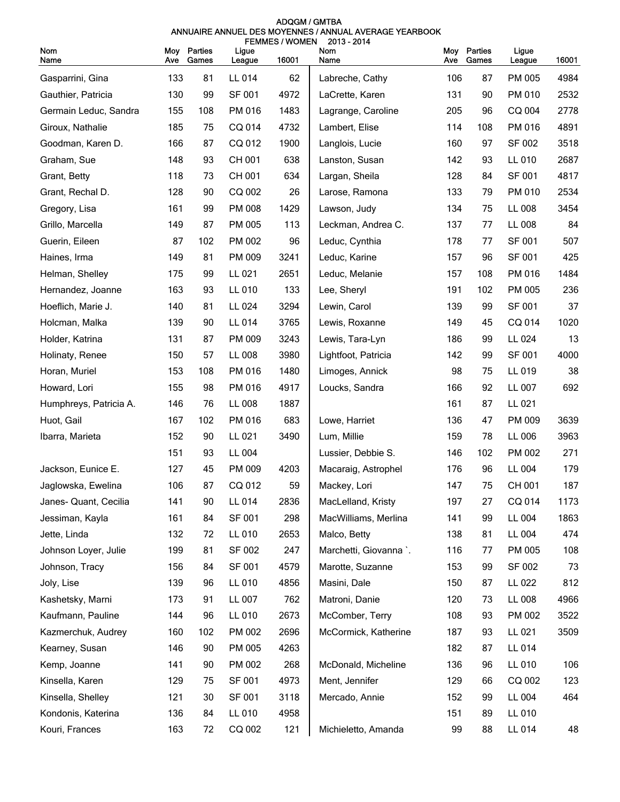| ADOGM / GMTBA                                          |  |  |  |  |  |  |  |
|--------------------------------------------------------|--|--|--|--|--|--|--|
| ANNUAIRE ANNUEL DES MOYENNES / ANNUAL AVERAGE YEARBOOK |  |  |  |  |  |  |  |
| <b>FEMMES/WOMEN 2013-2014</b>                          |  |  |  |  |  |  |  |

| <b>Nom</b><br>Name     | Ave | Moy Parties<br>Games | Ligue<br>League | 16001 | Nom<br>Name            | Moy<br>Ave | Parties<br>Games | Ligue<br>League | 16001 |
|------------------------|-----|----------------------|-----------------|-------|------------------------|------------|------------------|-----------------|-------|
| Gasparrini, Gina       | 133 | 81                   | LL 014          | 62    | Labreche, Cathy        | 106        | 87               | PM 005          | 4984  |
| Gauthier, Patricia     | 130 | 99                   | SF 001          | 4972  | LaCrette, Karen        | 131        | 90               | PM 010          | 2532  |
| Germain Leduc, Sandra  | 155 | 108                  | PM 016          | 1483  | Lagrange, Caroline     | 205        | 96               | CQ 004          | 2778  |
| Giroux, Nathalie       | 185 | 75                   | CQ 014          | 4732  | Lambert, Elise         | 114        | 108              | PM 016          | 4891  |
| Goodman, Karen D.      | 166 | 87                   | CQ 012          | 1900  | Langlois, Lucie        | 160        | 97               | SF 002          | 3518  |
| Graham, Sue            | 148 | 93                   | CH 001          | 638   | Lanston, Susan         | 142        | 93               | LL 010          | 2687  |
| Grant, Betty           | 118 | 73                   | CH 001          | 634   | Largan, Sheila         | 128        | 84               | SF 001          | 4817  |
| Grant, Rechal D.       | 128 | 90                   | CQ 002          | 26    | Larose, Ramona         | 133        | 79               | PM 010          | 2534  |
| Gregory, Lisa          | 161 | 99                   | PM 008          | 1429  | Lawson, Judy           | 134        | 75               | LL 008          | 3454  |
| Grillo, Marcella       | 149 | 87                   | PM 005          | 113   | Leckman, Andrea C.     | 137        | 77               | LL 008          | 84    |
| Guerin, Eileen         | 87  | 102                  | PM 002          | 96    | Leduc, Cynthia         | 178        | 77               | SF 001          | 507   |
| Haines, Irma           | 149 | 81                   | PM 009          | 3241  | Leduc, Karine          | 157        | 96               | SF 001          | 425   |
| Helman, Shelley        | 175 | 99                   | LL 021          | 2651  | Leduc, Melanie         | 157        | 108              | PM 016          | 1484  |
| Hernandez, Joanne      | 163 | 93                   | LL 010          | 133   | Lee, Sheryl            | 191        | 102              | PM 005          | 236   |
| Hoeflich, Marie J.     | 140 | 81                   | LL 024          | 3294  | Lewin, Carol           | 139        | 99               | SF 001          | 37    |
| Holcman, Malka         | 139 | 90                   | LL 014          | 3765  | Lewis, Roxanne         | 149        | 45               | CQ 014          | 1020  |
| Holder, Katrina        | 131 | 87                   | PM 009          | 3243  | Lewis, Tara-Lyn        | 186        | 99               | LL 024          | 13    |
| Holinaty, Renee        | 150 | 57                   | LL 008          | 3980  | Lightfoot, Patricia    | 142        | 99               | SF 001          | 4000  |
| Horan, Muriel          | 153 | 108                  | PM 016          | 1480  | Limoges, Annick        | 98         | 75               | LL 019          | 38    |
| Howard, Lori           | 155 | 98                   | PM 016          | 4917  | Loucks, Sandra         | 166        | 92               | LL 007          | 692   |
| Humphreys, Patricia A. | 146 | 76                   | LL 008          | 1887  |                        | 161        | 87               | LL 021          |       |
| Huot, Gail             | 167 | 102                  | PM 016          | 683   | Lowe, Harriet          | 136        | 47               | PM 009          | 3639  |
| Ibarra, Marieta        | 152 | 90                   | LL 021          | 3490  | Lum, Millie            | 159        | 78               | LL 006          | 3963  |
|                        | 151 | 93                   | LL 004          |       | Lussier, Debbie S.     | 146        | 102              | PM 002          | 271   |
| Jackson, Eunice E.     | 127 | 45                   | PM 009          | 4203  | Macaraig, Astrophel    | 176        | 96               | LL 004          | 179   |
| Jaglowska, Ewelina     | 106 | 87                   | CQ 012          | 59    | Mackey, Lori           | 147        | 75               | CH 001          | 187   |
| Janes- Quant, Cecilia  | 141 | 90                   | LL 014          | 2836  | MacLelland, Kristy     | 197        | 27               | CQ 014          | 1173  |
| Jessiman, Kayla        | 161 | 84                   | <b>SF 001</b>   | 298   | MacWilliams, Merlina   | 141        | 99               | LL 004          | 1863  |
| Jette, Linda           | 132 | 72                   | LL 010          | 2653  | Malco, Betty           | 138        | 81               | LL 004          | 474   |
| Johnson Loyer, Julie   | 199 | 81                   | SF 002          | 247   | Marchetti, Giovanna `. | 116        | 77               | PM 005          | 108   |
| Johnson, Tracy         | 156 | 84                   | SF 001          | 4579  | Marotte, Suzanne       | 153        | 99               | SF 002          | 73    |
| Joly, Lise             | 139 | 96                   | LL 010          | 4856  | Masini, Dale           | 150        | 87               | LL 022          | 812   |
| Kashetsky, Marni       | 173 | 91                   | LL 007          | 762   | Matroni, Danie         | 120        | 73               | LL 008          | 4966  |
| Kaufmann, Pauline      | 144 | 96                   | LL 010          | 2673  | McComber, Terry        | 108        | 93               | PM 002          | 3522  |
| Kazmerchuk, Audrey     | 160 | 102                  | PM 002          | 2696  | McCormick, Katherine   | 187        | 93               | LL 021          | 3509  |
| Kearney, Susan         | 146 | 90                   | PM 005          | 4263  |                        | 182        | 87               | LL 014          |       |
| Kemp, Joanne           | 141 | 90                   | PM 002          | 268   | McDonald, Micheline    | 136        | 96               | LL 010          | 106   |
| Kinsella, Karen        | 129 | 75                   | SF 001          | 4973  | Ment, Jennifer         | 129        | 66               | CQ 002          | 123   |
| Kinsella, Shelley      | 121 | 30                   | SF 001          | 3118  | Mercado, Annie         | 152        | 99               | LL 004          | 464   |
| Kondonis, Katerina     | 136 | 84                   | LL 010          | 4958  |                        | 151        | 89               | LL 010          |       |
| Kouri, Frances         | 163 | 72                   | CQ 002          | 121   | Michieletto, Amanda    | 99         | 88               | LL 014          | 48    |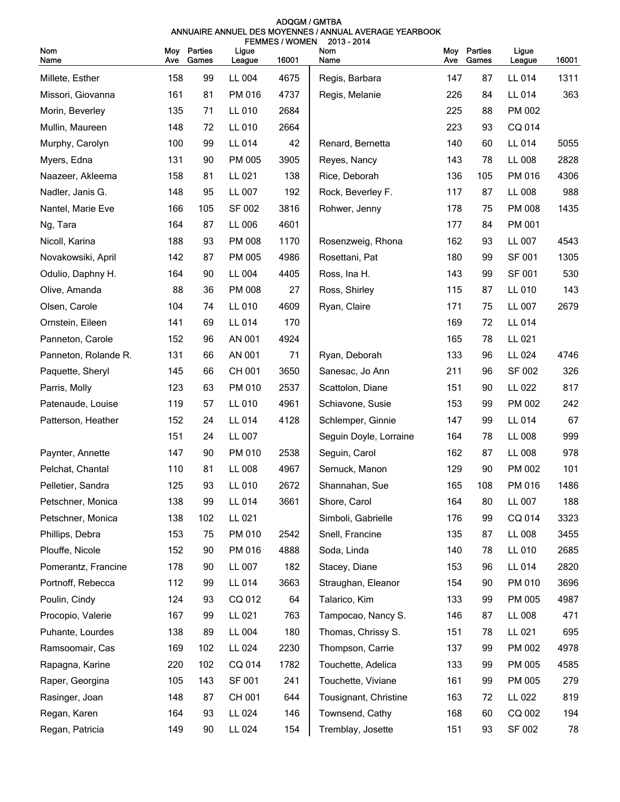| <b>ADOGM / GMTBA</b>                                   |  |  |  |  |  |  |  |
|--------------------------------------------------------|--|--|--|--|--|--|--|
| ANNUAIRE ANNUEL DES MOYENNES / ANNUAL AVERAGE YEARBOOK |  |  |  |  |  |  |  |
| FEMMES / WOMEN 2013 - 2014                             |  |  |  |  |  |  |  |

| Nom                  | Moy | Parties | Ligue  | <b>FEMINES/WVUNEN</b> | <b>2019 - 2014</b><br>Nom | Moy | Parties | Ligue  |       |
|----------------------|-----|---------|--------|-----------------------|---------------------------|-----|---------|--------|-------|
| Name                 | Ave | Games   | League | 16001                 | Name                      | Ave | Games   | League | 16001 |
| Millete, Esther      | 158 | 99      | LL 004 | 4675                  | Regis, Barbara            | 147 | 87      | LL 014 | 1311  |
| Missori, Giovanna    | 161 | 81      | PM 016 | 4737                  | Regis, Melanie            | 226 | 84      | LL 014 | 363   |
| Morin, Beverley      | 135 | 71      | LL 010 | 2684                  |                           | 225 | 88      | PM 002 |       |
| Mullin, Maureen      | 148 | 72      | LL 010 | 2664                  |                           | 223 | 93      | CQ 014 |       |
| Murphy, Carolyn      | 100 | 99      | LL 014 | 42                    | Renard, Bernetta          | 140 | 60      | LL 014 | 5055  |
| Myers, Edna          | 131 | 90      | PM 005 | 3905                  | Reyes, Nancy              | 143 | 78      | LL 008 | 2828  |
| Naazeer, Akleema     | 158 | 81      | LL 021 | 138                   | Rice, Deborah             | 136 | 105     | PM 016 | 4306  |
| Nadler, Janis G.     | 148 | 95      | LL 007 | 192                   | Rock, Beverley F.         | 117 | 87      | LL 008 | 988   |
| Nantel, Marie Eve    | 166 | 105     | SF 002 | 3816                  | Rohwer, Jenny             | 178 | 75      | PM 008 | 1435  |
| Ng, Tara             | 164 | 87      | LL 006 | 4601                  |                           | 177 | 84      | PM 001 |       |
| Nicoll, Karina       | 188 | 93      | PM 008 | 1170                  | Rosenzweig, Rhona         | 162 | 93      | LL 007 | 4543  |
| Novakowsiki, April   | 142 | 87      | PM 005 | 4986                  | Rosettani, Pat            | 180 | 99      | SF 001 | 1305  |
| Odulio, Daphny H.    | 164 | 90      | LL 004 | 4405                  | Ross, Ina H.              | 143 | 99      | SF 001 | 530   |
| Olive, Amanda        | 88  | 36      | PM 008 | 27                    | Ross, Shirley             | 115 | 87      | LL 010 | 143   |
| Olsen, Carole        | 104 | 74      | LL 010 | 4609                  | Ryan, Claire              | 171 | 75      | LL 007 | 2679  |
| Ornstein, Eileen     | 141 | 69      | LL 014 | 170                   |                           | 169 | 72      | LL 014 |       |
| Panneton, Carole     | 152 | 96      | AN 001 | 4924                  |                           | 165 | 78      | LL 021 |       |
| Panneton, Rolande R. | 131 | 66      | AN 001 | 71                    | Ryan, Deborah             | 133 | 96      | LL 024 | 4746  |
| Paquette, Sheryl     | 145 | 66      | CH 001 | 3650                  | Sanesac, Jo Ann           | 211 | 96      | SF 002 | 326   |
| Parris, Molly        | 123 | 63      | PM 010 | 2537                  | Scattolon, Diane          | 151 | 90      | LL 022 | 817   |
| Patenaude, Louise    | 119 | 57      | LL 010 | 4961                  | Schiavone, Susie          | 153 | 99      | PM 002 | 242   |
| Patterson, Heather   | 152 | 24      | LL 014 | 4128                  | Schlemper, Ginnie         | 147 | 99      | LL 014 | 67    |
|                      | 151 | 24      | LL 007 |                       | Seguin Doyle, Lorraine    | 164 | 78      | LL 008 | 999   |
| Paynter, Annette     | 147 | 90      | PM 010 | 2538                  | Seguin, Carol             | 162 | 87      | LL 008 | 978   |
| Pelchat, Chantal     | 110 | 81      | LL 008 | 4967                  | Sernuck, Manon            | 129 | 90      | PM 002 | 101   |
| Pelletier, Sandra    | 125 | 93      | LL 010 | 2672                  | Shannahan, Sue            | 165 | 108     | PM 016 | 1486  |
| Petschner, Monica    | 138 | 99      | LL 014 | 3661                  | Shore, Carol              | 164 | 80      | LL 007 | 188   |
| Petschner, Monica    | 138 | 102     | LL 021 |                       | Simboli, Gabrielle        | 176 | 99      | CQ 014 | 3323  |
| Phillips, Debra      | 153 | 75      | PM 010 | 2542                  | Snell, Francine           | 135 | 87      | LL 008 | 3455  |
| Plouffe, Nicole      | 152 | 90      | PM 016 | 4888                  | Soda, Linda               | 140 | 78      | LL 010 | 2685  |
| Pomerantz, Francine  | 178 | 90      | LL 007 | 182                   | Stacey, Diane             | 153 | 96      | LL 014 | 2820  |
| Portnoff, Rebecca    | 112 | 99      | LL 014 | 3663                  | Straughan, Eleanor        | 154 | 90      | PM 010 | 3696  |
| Poulin, Cindy        | 124 | 93      | CQ 012 | 64                    | Talarico, Kim             | 133 | 99      | PM 005 | 4987  |
| Procopio, Valerie    | 167 | 99      | LL 021 | 763                   | Tampocao, Nancy S.        | 146 | 87      | LL 008 | 471   |
| Puhante, Lourdes     | 138 | 89      | LL 004 | 180                   | Thomas, Chrissy S.        | 151 | 78      | LL 021 | 695   |
| Ramsoomair, Cas      | 169 | 102     | LL 024 | 2230                  | Thompson, Carrie          | 137 | 99      | PM 002 | 4978  |
| Rapagna, Karine      | 220 | 102     | CQ 014 | 1782                  | Touchette, Adelica        | 133 | 99      | PM 005 | 4585  |
| Raper, Georgina      | 105 | 143     | SF 001 | 241                   | Touchette, Viviane        | 161 | 99      | PM 005 | 279   |
| Rasinger, Joan       | 148 | 87      | CH 001 | 644                   | Tousignant, Christine     | 163 | 72      | LL 022 | 819   |
| Regan, Karen         | 164 | 93      | LL 024 | 146                   | Townsend, Cathy           | 168 | 60      | CQ 002 | 194   |
| Regan, Patricia      | 149 | 90      | LL 024 | 154                   | Tremblay, Josette         | 151 | 93      | SF 002 | 78    |